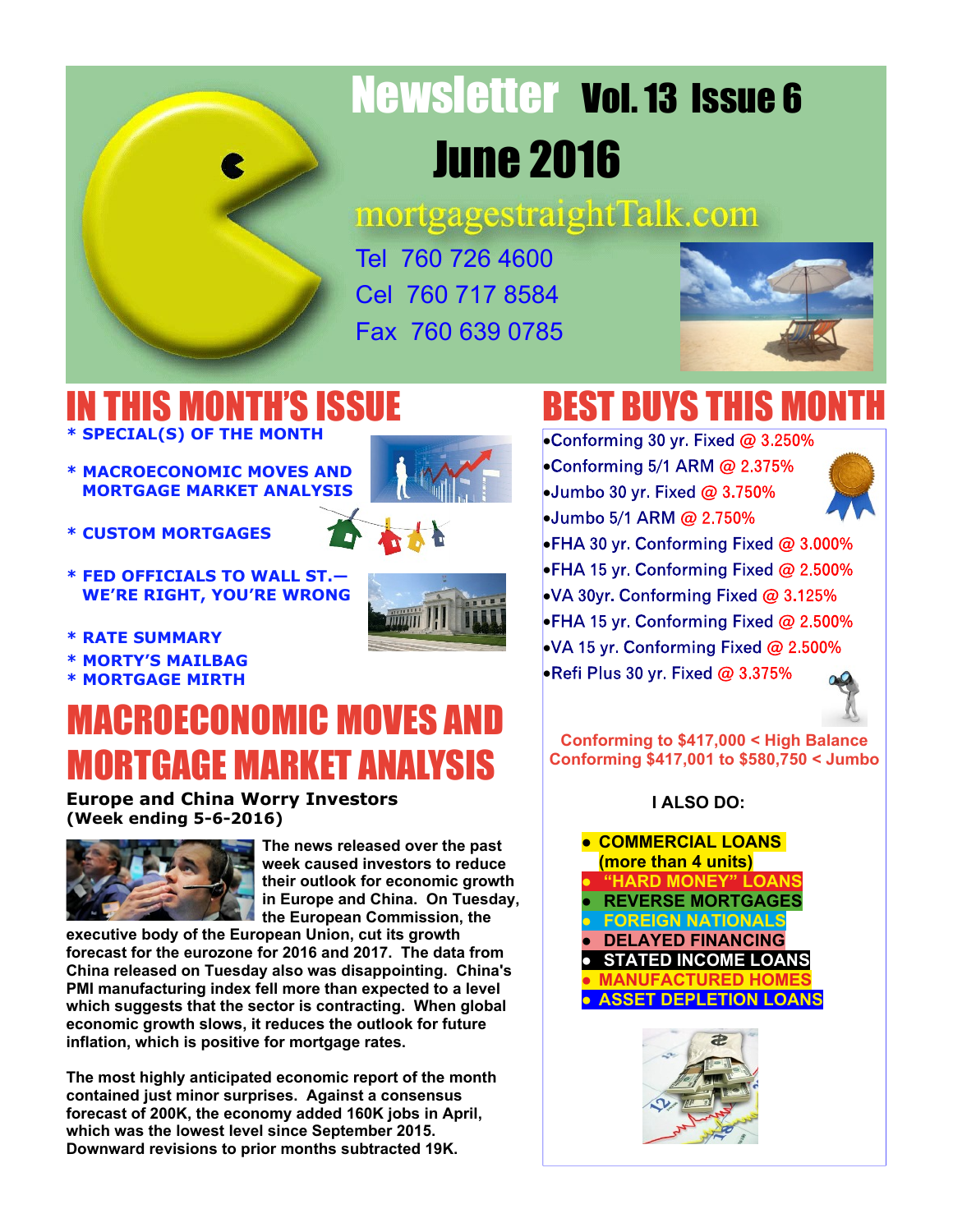

# Newsletter Vol. 13 Issue 6 June 2016

mortgagestraightTalk.com

Tel 760 726 4600 Cel 760 717 8584 Fax 760 639 0785



#### IN THIS MONTH'S ISSUE **\* SPECIAL(S) OF THE MONTH**

- **\* MACROECONOMIC MOVES AND MORTGAGE MARKET ANALYSIS**
- **\* CUSTOM MORTGAGES**
- **\* FED OFFICIALS TO WALL ST.— WE'RE RIGHT, YOU'RE WRONG**





- **\* RATE SUMMARY**
- **\* MORTY'S MAILBAG**
- **\* MORTGAGE MIRTH**

### MACROECONOMIC MOVES AND MORTGAGE MARKET ANALYSIS

#### **Europe and China Worry Investors (Week ending 5-6-2016)**



**The news released over the past week caused investors to reduce their outlook for economic growth in Europe and China. On Tuesday, the European Commission, the**

**executive body of the European Union, cut its growth forecast for the eurozone for 2016 and 2017. The data from China released on Tuesday also was disappointing. China's PMI manufacturing index fell more than expected to a level which suggests that the sector is contracting. When global economic growth slows, it reduces the outlook for future inflation, which is positive for mortgage rates.**

**The most highly anticipated economic report of the month contained just minor surprises. Against a consensus forecast of 200K, the economy added 160K jobs in April, which was the lowest level since September 2015. Downward revisions to prior months subtracted 19K.**

# BEST BUYS THIS MONTH

•Conforming 30 yr. Fixed @ 3.250% •Conforming 5/1 ARM @ 2.375% •Jumbo 30 yr. Fixed @ 3.750% •Jumbo 5/1 ARM @ 2.750%



•FHA 30 yr. Conforming Fixed @ 3.000% •FHA 15 yr. Conforming Fixed @ 2.500% •VA 30yr. Conforming Fixed @ 3.125% •FHA 15 yr. Conforming Fixed @ 2.500% •VA 15 yr. Conforming Fixed @ 2.500% • Refi Plus 30 yr. Fixed @ 3.375%



**Conforming to \$417,000 < High Balance Conforming \$417,001 to \$580,750 < Jumbo**

#### **I ALSO DO:**



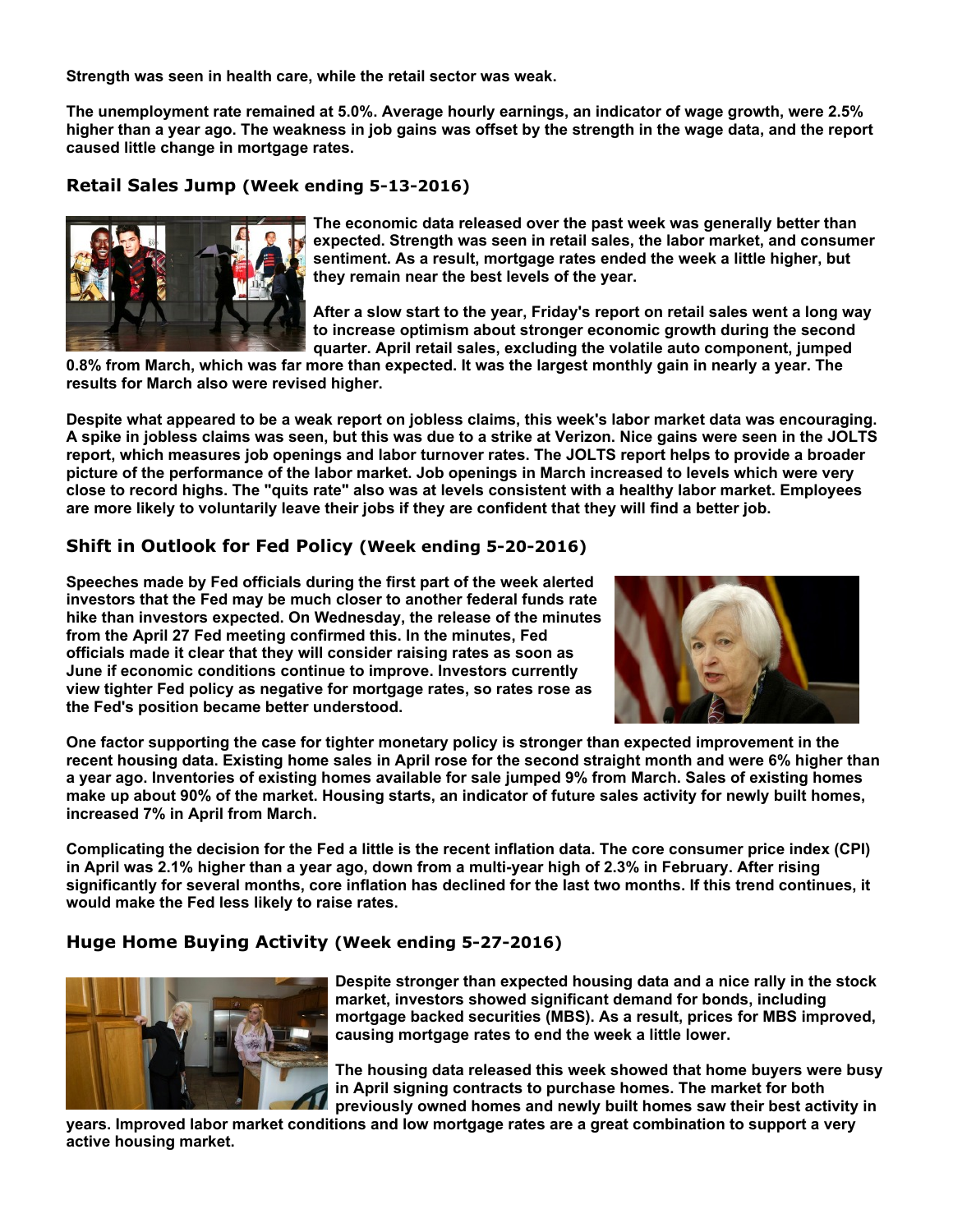**Strength was seen in health care, while the retail sector was weak.**

**The unemployment rate remained at 5.0%. Average hourly earnings, an indicator of wage growth, were 2.5% higher than a year ago. The weakness in job gains was offset by the strength in the wage data, and the report caused little change in mortgage rates.**

#### **Retail Sales Jump (Week ending 5-13-2016)**



**The economic data released over the past week was generally better than expected. Strength was seen in retail sales, the labor market, and consumer sentiment. As a result, mortgage rates ended the week a little higher, but they remain near the best levels of the year.**

**After a slow start to the year, Friday's report on retail sales went a long way to increase optimism about stronger economic growth during the second quarter. April retail sales, excluding the volatile auto component, jumped**

**0.8% from March, which was far more than expected. It was the largest monthly gain in nearly a year. The results for March also were revised higher.**

**Despite what appeared to be a weak report on jobless claims, this week's labor market data was encouraging. A spike in jobless claims was seen, but this was due to a strike at Verizon. Nice gains were seen in the JOLTS report, which measures job openings and labor turnover rates. The JOLTS report helps to provide a broader picture of the performance of the labor market. Job openings in March increased to levels which were very close to record highs. The "quits rate" also was at levels consistent with a healthy labor market. Employees are more likely to voluntarily leave their jobs if they are confident that they will find a better job.**

#### **Shift in Outlook for Fed Policy (Week ending 5-20-2016)**

**Speeches made by Fed officials during the first part of the week alerted investors that the Fed may be much closer to another federal funds rate hike than investors expected. On Wednesday, the release of the minutes from the April 27 Fed meeting confirmed this. In the minutes, Fed officials made it clear that they will consider raising rates as soon as June if economic conditions continue to improve. Investors currently view tighter Fed policy as negative for mortgage rates, so rates rose as the Fed's position became better understood.**



**One factor supporting the case for tighter monetary policy is stronger than expected improvement in the recent housing data. Existing home sales in April rose for the second straight month and were 6% higher than a year ago. Inventories of existing homes available for sale jumped 9% from March. Sales of existing homes make up about 90% of the market. Housing starts, an indicator of future sales activity for newly built homes, increased 7% in April from March.**

**Complicating the decision for the Fed a little is the recent inflation data. The core consumer price index (CPI) in April was 2.1% higher than a year ago, down from a multi-year high of 2.3% in February. After rising significantly for several months, core inflation has declined for the last two months. If this trend continues, it would make the Fed less likely to raise rates.**

#### **Huge Home Buying Activity (Week ending 5-27-2016)**



**Despite stronger than expected housing data and a nice rally in the stock market, investors showed significant demand for bonds, including mortgage backed securities (MBS). As a result, prices for MBS improved, causing mortgage rates to end the week a little lower.**

**The housing data released this week showed that home buyers were busy in April signing contracts to purchase homes. The market for both previously owned homes and newly built homes saw their best activity in**

**years. Improved labor market conditions and low mortgage rates are a great combination to support a very active housing market.**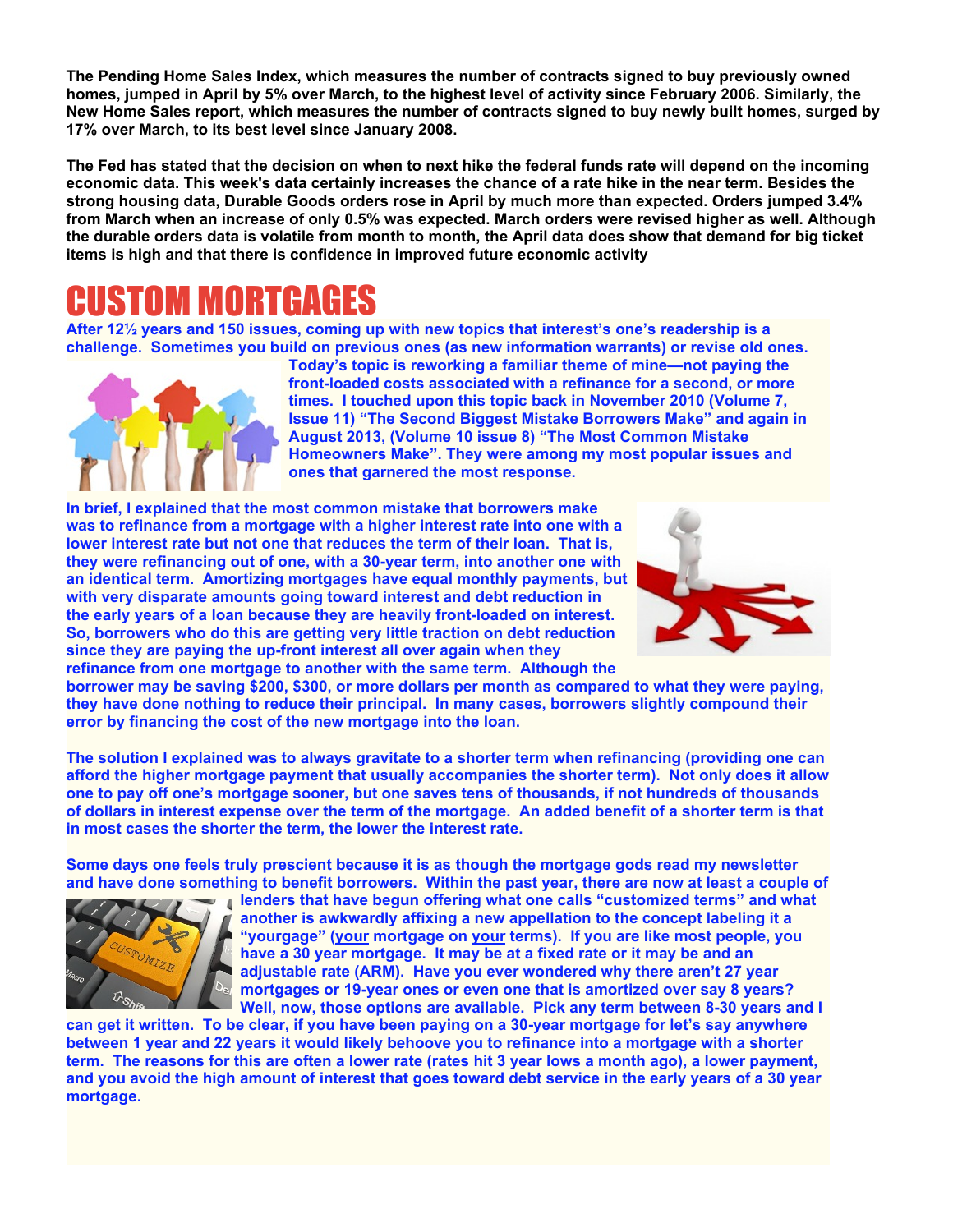**The Pending Home Sales Index, which measures the number of contracts signed to buy previously owned homes, jumped in April by 5% over March, to the highest level of activity since February 2006. Similarly, the New Home Sales report, which measures the number of contracts signed to buy newly built homes, surged by 17% over March, to its best level since January 2008.**

**The Fed has stated that the decision on when to next hike the federal funds rate will depend on the incoming economic data. This week's data certainly increases the chance of a rate hike in the near term. Besides the strong housing data, Durable Goods orders rose in April by much more than expected. Orders jumped 3.4% from March when an increase of only 0.5% was expected. March orders were revised higher as well. Although the durable orders data is volatile from month to month, the April data does show that demand for big ticket items is high and that there is confidence in improved future economic activity**

### TIM MORTGA

**After 12½ years and 150 issues, coming up with new topics that interest's one's readership is a challenge. Sometimes you build on previous ones (as new information warrants) or revise old ones.**



**Today's topic is reworking a familiar theme of mine—not paying the front-loaded costs associated with a refinance for a second, or more times. I touched upon this topic back in November 2010 (Volume 7, Issue 11) "The Second Biggest Mistake Borrowers Make" and again in August 2013, (Volume 10 issue 8) "The Most Common Mistake Homeowners Make". They were among my most popular issues and ones that garnered the most response.**

**In brief, I explained that the most common mistake that borrowers make was to refinance from a mortgage with a higher interest rate into one with a lower interest rate but not one that reduces the term of their loan. That is, they were refinancing out of one, with a 30-year term, into another one with an identical term. Amortizing mortgages have equal monthly payments, but with very disparate amounts going toward interest and debt reduction in the early years of a loan because they are heavily front-loaded on interest. So, borrowers who do this are getting very little traction on debt reduction since they are paying the up-front interest all over again when they refinance from one mortgage to another with the same term. Although the**



**borrower may be saving \$200, \$300, or more dollars per month as compared to what they were paying, they have done nothing to reduce their principal. In many cases, borrowers slightly compound their error by financing the cost of the new mortgage into the loan.**

**The solution I explained was to always gravitate to a shorter term when refinancing (providing one can afford the higher mortgage payment that usually accompanies the shorter term). Not only does it allow one to pay off one's mortgage sooner, but one saves tens of thousands, if not hundreds of thousands of dollars in interest expense over the term of the mortgage. An added benefit of a shorter term is that in most cases the shorter the term, the lower the interest rate.**

**Some days one feels truly prescient because it is as though the mortgage gods read my newsletter and have done something to benefit borrowers. Within the past year, there are now at least a couple of**



**lenders that have begun offering what one calls "customized terms" and what another is awkwardly affixing a new appellation to the concept labeling it a "yourgage" (your mortgage on your terms). If you are like most people, you have a 30 year mortgage. It may be at a fixed rate or it may be and an adjustable rate (ARM). Have you ever wondered why there aren't 27 year mortgages or 19-year ones or even one that is amortized over say 8 years? Well, now, those options are available. Pick any term between 8-30 years and I**

**can get it written. To be clear, if you have been paying on a 30-year mortgage for let's say anywhere between 1 year and 22 years it would likely behoove you to refinance into a mortgage with a shorter term. The reasons for this are often a lower rate (rates hit 3 year lows a month ago), a lower payment, and you avoid the high amount of interest that goes toward debt service in the early years of a 30 year mortgage.**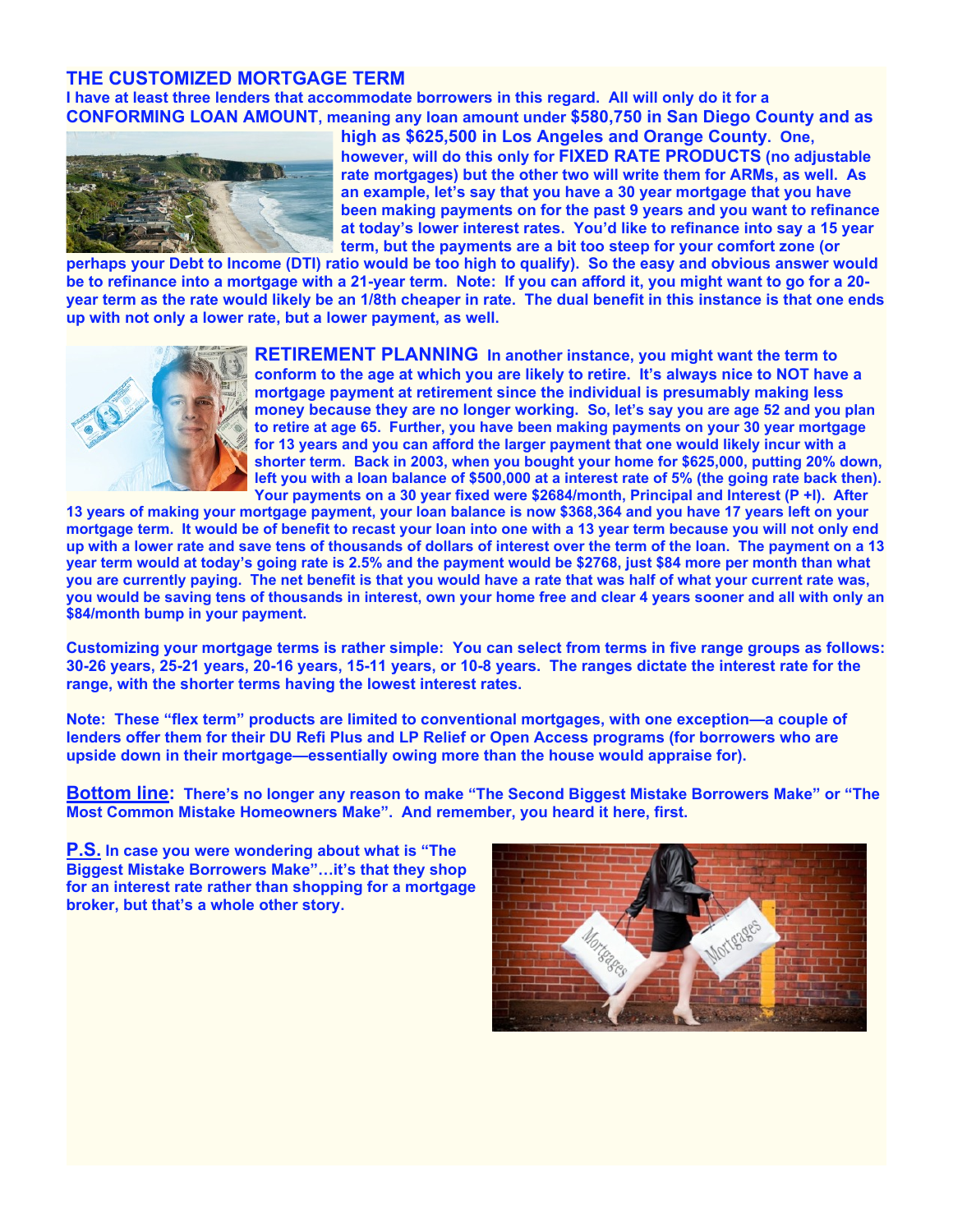#### **THE CUSTOMIZED MORTGAGE TERM**

**I have at least three lenders that accommodate borrowers in this regard. All will only do it for a CONFORMING LOAN AMOUNT, meaning any loan amount under \$580,750 in San Diego County and as**



**high as \$625,500 in Los Angeles and Orange County. One, however, will do this only for FIXED RATE PRODUCTS (no adjustable rate mortgages) but the other two will write them for ARMs, as well. As an example, let's say that you have a 30 year mortgage that you have been making payments on for the past 9 years and you want to refinance at today's lower interest rates. You'd like to refinance into say a 15 year term, but the payments are a bit too steep for your comfort zone (or**

**perhaps your Debt to Income (DTI) ratio would be too high to qualify). So the easy and obvious answer would be to refinance into a mortgage with a 21-year term. Note: If you can afford it, you might want to go for a 20 year term as the rate would likely be an 1/8th cheaper in rate. The dual benefit in this instance is that one ends up with not only a lower rate, but a lower payment, as well.**



**RETIREMENT PLANNING In another instance, you might want the term to conform to the age at which you are likely to retire. It's always nice to NOT have a mortgage payment at retirement since the individual is presumably making less money because they are no longer working. So, let's say you are age 52 and you plan to retire at age 65. Further, you have been making payments on your 30 year mortgage for 13 years and you can afford the larger payment that one would likely incur with a shorter term. Back in 2003, when you bought your home for \$625,000, putting 20% down, left you with a loan balance of \$500,000 at a interest rate of 5% (the going rate back then). Your payments on a 30 year fixed were \$2684/month, Principal and Interest (P +I). After**

**13 years of making your mortgage payment, your loan balance is now \$368,364 and you have 17 years left on your mortgage term. It would be of benefit to recast your loan into one with a 13 year term because you will not only end up with a lower rate and save tens of thousands of dollars of interest over the term of the loan. The payment on a 13 year term would at today's going rate is 2.5% and the payment would be \$2768, just \$84 more per month than what you are currently paying. The net benefit is that you would have a rate that was half of what your current rate was, you would be saving tens of thousands in interest, own your home free and clear 4 years sooner and all with only an \$84/month bump in your payment.**

**Customizing your mortgage terms is rather simple: You can select from terms in five range groups as follows: 30-26 years, 25-21 years, 20-16 years, 15-11 years, or 10-8 years. The ranges dictate the interest rate for the range, with the shorter terms having the lowest interest rates.**

**Note: These "flex term" products are limited to conventional mortgages, with one exception—a couple of lenders offer them for their DU Refi Plus and LP Relief or Open Access programs (for borrowers who are upside down in their mortgage—essentially owing more than the house would appraise for).**

**Bottom line: There's no longer any reason to make "The Second Biggest Mistake Borrowers Make" or "The Most Common Mistake Homeowners Make". And remember, you heard it here, first.**

**P.S. In case you were wondering about what is "The Biggest Mistake Borrowers Make"…it's that they shop for an interest rate rather than shopping for a mortgage broker, but that's a whole other story.**